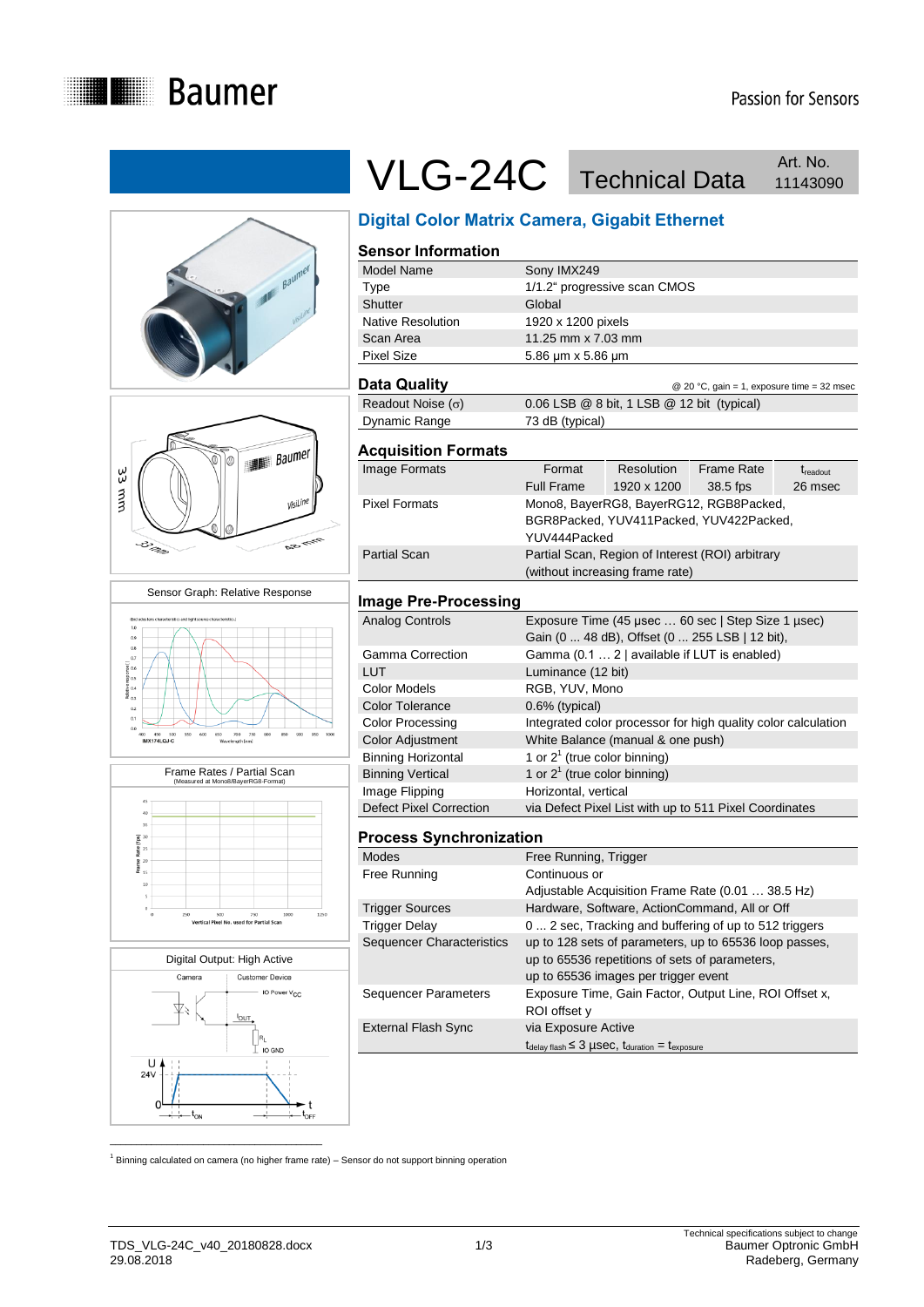



# VLG-24C Technical Data Art. No. Art. No.

# **Digital Color Matrix Camera, Gigabit Ethernet**

| <b>Sensor Information</b>   |                                 |                                                                                                      |                                            |                   |
|-----------------------------|---------------------------------|------------------------------------------------------------------------------------------------------|--------------------------------------------|-------------------|
| Model Name                  | Sony IMX249                     |                                                                                                      |                                            |                   |
| Type                        |                                 | 1/1.2" progressive scan CMOS                                                                         |                                            |                   |
| Shutter                     | Global                          |                                                                                                      |                                            |                   |
| Native Resolution           | 1920 x 1200 pixels              |                                                                                                      |                                            |                   |
| Scan Area                   | 11.25 mm x 7.03 mm              |                                                                                                      |                                            |                   |
| <b>Pixel Size</b>           | 5.86 µm x 5.86 µm               |                                                                                                      |                                            |                   |
| Data Quality                |                                 |                                                                                                      | @ 20 °C, gain = 1, exposure time = 32 msec |                   |
| Readout Noise $(\sigma)$    |                                 | 0.06 LSB @ 8 bit, 1 LSB @ 12 bit (typical)                                                           |                                            |                   |
| Dynamic Range               | 73 dB (typical)                 |                                                                                                      |                                            |                   |
| <b>Acquisition Formats</b>  |                                 |                                                                                                      |                                            |                   |
| Image Formats               | Format                          | Resolution                                                                                           | Frame Rate                                 | $t_{\rm readout}$ |
|                             | Full Frame                      | 1920 x 1200                                                                                          | 38.5 fps                                   | 26 msec           |
| <b>Pixel Formats</b>        |                                 | Mono8, BayerRG8, BayerRG12, RGB8Packed,                                                              |                                            |                   |
|                             |                                 | BGR8Packed, YUV411Packed, YUV422Packed,                                                              |                                            |                   |
|                             | YUV444Packed                    |                                                                                                      |                                            |                   |
| <b>Partial Scan</b>         |                                 | Partial Scan, Region of Interest (ROI) arbitrary                                                     |                                            |                   |
|                             | (without increasing frame rate) |                                                                                                      |                                            |                   |
| <b>Image Pre-Processing</b> |                                 |                                                                                                      |                                            |                   |
| <b>Analog Controls</b>      |                                 | Exposure Time (45 µsec  60 sec   Step Size 1 µsec)<br>Gain (0  48 dB), Offset (0  255 LSB   12 bit), |                                            |                   |

|                           | Gain (0  48 dB), Offset (0  255 LSB   12 bit),                |
|---------------------------|---------------------------------------------------------------|
| Gamma Correction          | Gamma (0.1  2   available if LUT is enabled)                  |
| LUT                       | Luminance (12 bit)                                            |
| Color Models              | RGB, YUV, Mono                                                |
| <b>Color Tolerance</b>    | 0.6% (typical)                                                |
| <b>Color Processing</b>   | Integrated color processor for high quality color calculation |
| <b>Color Adjustment</b>   | White Balance (manual & one push)                             |
| <b>Binning Horizontal</b> | 1 or $2^1$ (true color binning)                               |
| <b>Binning Vertical</b>   | 1 or $2^1$ (true color binning)                               |
| Image Flipping            | Horizontal, vertical                                          |
| Defect Pixel Correction   | via Defect Pixel List with up to 511 Pixel Coordinates        |

## **Process Synchronization**

| <b>Modes</b>                | Free Running, Trigger                                                                        |
|-----------------------------|----------------------------------------------------------------------------------------------|
| Free Running                | Continuous or                                                                                |
|                             | Adjustable Acquisition Frame Rate (0.01  38.5 Hz)                                            |
| <b>Trigger Sources</b>      | Hardware, Software, ActionCommand, All or Off                                                |
| <b>Trigger Delay</b>        | 0  2 sec, Tracking and buffering of up to 512 triggers                                       |
| Sequencer Characteristics   | up to 128 sets of parameters, up to 65536 loop passes,                                       |
|                             | up to 65536 repetitions of sets of parameters,                                               |
|                             | up to 65536 images per trigger event                                                         |
| <b>Sequencer Parameters</b> | Exposure Time, Gain Factor, Output Line, ROI Offset x,                                       |
|                             | ROI offset y                                                                                 |
| <b>External Flash Sync</b>  | via Exposure Active                                                                          |
|                             | $t_{\text{delay flash}} \leq 3 \mu \text{sec}$ , $t_{\text{duration}} = t_{\text{exposure}}$ |
|                             |                                                                                              |

 $1$  Binning calculated on camera (no higher frame rate) – Sensor do not support binning operation

Frame Rates / Partial Scan (Measured at Mono8/BayerRG8-Format)  $\overline{40}$ 35  $\begin{array}{c}\n\text{a} & \text{30} \\
\text{a} & \text{25} \\
\text{b} & \text{25}\n\end{array}$  $\frac{a}{2}$ <br> $\frac{a}{2}$ <br> $\frac{20}{15}$ 

Sensor Graph: Relative Response

33 mm

. ಒಂದು ಮಾಡಿದ್ದಾರೆ.<br>ಗಿತ್ತಿದ್ದ ವಿಶೋಧಿ ಪ್ರಾಂಡಿ ಪ್ರಾಂಡಿ ಪ್ರಾಂಡಿ ವಿಶೋಧಿ<br>ಪ್ರಾಂಡಿ ಪ್ರಾಂಡಿ ಪ್ರಾಂಡಿ ಪ್ರಾಂಡಿ ಪ್ರಾಂಡಿ ಪ್ರಾಂಡಿ ಪ್ರಾಂಡಿ ಪ್ರಾಂಡಿ ಪ್ರಾಂಡಿ ಪ್ರಾಂಡಿ ಪ್ರಾಂಡಿ ಪ್ರಾಂಡಿ ಪ್ರಾಂಡಿ ಪ್ರಾಂಡಿ

 $0.2$  $0.1$ 100<br>IM 150 50<br>11741 O.LO visiLi

S.



 $\mathcal{L}_\text{max}$  , and the set of the set of the set of the set of the set of the set of the set of the set of the set of the set of the set of the set of the set of the set of the set of the set of the set of the set of the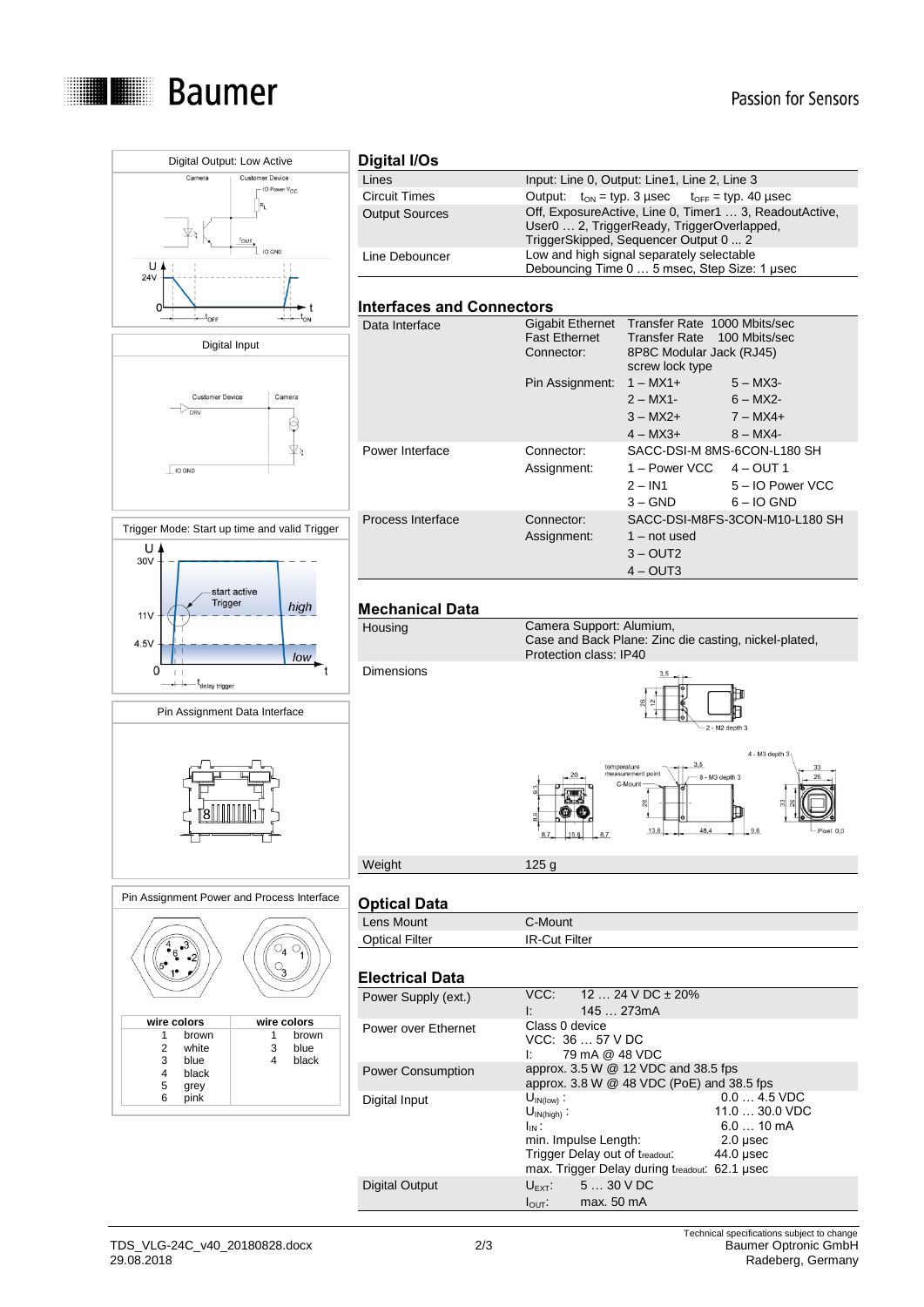



#### $\begin{matrix} 4 \\ 6 \\ 3 \end{matrix}$  $\circ_4 \circ_1$  $\mathbb{S}$ ا ∈∙  $1^{\bullet}$  $\cdot$ **wire colors wire colors** 1 brown 1 brown 2 white 3 blue<br>3 blue 4 black 3 blue<br>4 black<br>5 grey<br>6 pink 3 blue 4 black 4 black pink

#### **Digital I/Os**

| Lines                 | Input: Line 0, Output: Line1, Line 2, Line 3                                                                                                  |
|-----------------------|-----------------------------------------------------------------------------------------------------------------------------------------------|
| Circuit Times         | Output: $t_{ON}$ = typ. 3 usec $t_{OFF}$ = typ. 40 usec                                                                                       |
| <b>Output Sources</b> | Off, ExposureActive, Line 0, Timer1  3, ReadoutActive,<br>User0  2, TriggerReady, TriggerOverlapped,<br>TriggerSkipped, Sequencer Output 0  2 |
| Line Debouncer        | Low and high signal separately selectable<br>Debouncing Time 0  5 msec, Step Size: 1 usec                                                     |
|                       |                                                                                                                                               |

#### **Interfaces and Connectors**

| Data Interface    | Gigabit Ethernet<br><b>Fast Ethernet</b><br>Connector: | Transfer Rate 1000 Mbits/sec<br>100 Mbits/sec<br>Transfer Rate<br>8P8C Modular Jack (RJ45)<br>screw lock type         |
|-------------------|--------------------------------------------------------|-----------------------------------------------------------------------------------------------------------------------|
|                   | Pin Assignment:                                        | $1 - MX1 +$<br>$5 - MX3$<br>$2 - MX1$ -<br>$6 - MX2$ -<br>$3 - MX2 +$<br>$7 - MX4 +$<br>$4 - MX3 +$<br>$8 - MX4 -$    |
| Power Interface   | Connector:<br>Assignment:                              | SACC-DSI-M 8MS-6CON-L180 SH<br>1 – Power VCC $4 - 0UT1$<br>5 - IO Power VCC<br>$2 - IN1$<br>$3 - GND$<br>$6 - 10$ GND |
| Process Interface | Connector:<br>Assignment:                              | SACC-DSI-M8FS-3CON-M10-L180 SH<br>$1 - not used$<br>$3 - \text{OUT2}$<br>$4 - \text{OUT3}$                            |

#### **Mechanical Data**



### **Optical Data**

| V                     |                      |  |
|-----------------------|----------------------|--|
| Lens Mount            | C-Mount ิ            |  |
| <b>Optical Filter</b> | <b>IR-Cut Filter</b> |  |
|                       |                      |  |

### **Electrical Data**

| Li <del>c</del> uliuai Dala |                        |                                               |                    |
|-----------------------------|------------------------|-----------------------------------------------|--------------------|
| Power Supply (ext.)         |                        | VCC: $1224 \text{ V DC} \pm 20\%$             |                    |
|                             | Ŀ                      | 145273mA                                      |                    |
| Power over Ethernet         | Class 0 device         | VCC: 36  57 V DC<br>79 mA @ 48 VDC            |                    |
|                             |                        |                                               |                    |
| <b>Power Consumption</b>    |                        | approx. 3.5 W @ 12 VDC and 38.5 fps           |                    |
|                             |                        | approx. $3.8 W @ 48 VDC (PoE)$ and $38.5$ fps |                    |
| Digital Input               | $U_{\text{IN(low)}}$ : |                                               | $0.04.5$ VDC       |
|                             | $U_{IN(hiah)}$ :       |                                               | $11.030.0$ VDC     |
|                             | $I_{IN}$ :             |                                               | $6.010 \text{ mA}$ |
|                             |                        | min. Impulse Length:                          | $2.0$ usec         |
|                             |                        | Trigger Delay out of treadout:                | 44.0 µsec          |
|                             |                        | max. Trigger Delay during treadout: 62.1 µsec |                    |
| Digital Output              |                        | $U_{\text{EXT}}$ 5  30 V DC                   |                    |
|                             | $I_{\text{OUT}}$ :     | max. 50 mA                                    |                    |